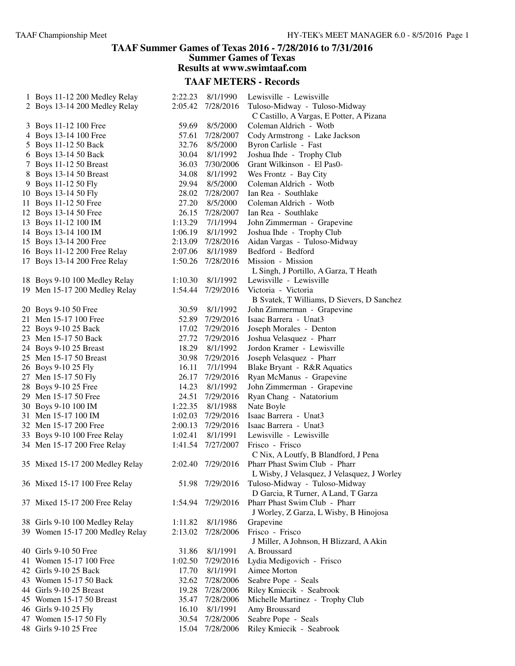### **TAAF Summer Games of Texas 2016 - 7/28/2016 to 7/31/2016 Summer Games of Texas Results at www.swimtaaf.com**

| 1 Boys 11-12 200 Medley Relay   | 2:22.23 | 8/1/1990        | Lewisville - Lewisville                     |
|---------------------------------|---------|-----------------|---------------------------------------------|
| 2 Boys 13-14 200 Medley Relay   | 2:05.42 | 7/28/2016       | Tuloso-Midway - Tuloso-Midway               |
|                                 |         |                 | C Castillo, A Vargas, E Potter, A Pizana    |
| 3 Boys 11-12 100 Free           | 59.69   | 8/5/2000        | Coleman Aldrich - Wotb                      |
| 4 Boys 13-14 100 Free           | 57.61   | 7/28/2007       | Cody Armstrong - Lake Jackson               |
| 5 Boys 11-12 50 Back            | 32.76   | 8/5/2000        | Byron Carlisle - Fast                       |
| 6 Boys 13-14 50 Back            | 30.04   | 8/1/1992        | Joshua Ihde - Trophy Club                   |
| 7 Boys 11-12 50 Breast          | 36.03   | 7/30/2006       | Grant Wilkinson - El Pas0-                  |
| 8 Boys 13-14 50 Breast          | 34.08   | 8/1/1992        | Wes Frontz - Bay City                       |
| 9 Boys 11-12 50 Fly             | 29.94   | 8/5/2000        | Coleman Aldrich - Wotb                      |
| 10 Boys 13-14 50 Fly            | 28.02   | 7/28/2007       | Ian Rea - Southlake                         |
| 11 Boys 11-12 50 Free           | 27.20   | 8/5/2000        | Coleman Aldrich - Wotb                      |
|                                 |         |                 | Ian Rea - Southlake                         |
| 12 Boys 13-14 50 Free           | 26.15   | 7/28/2007       |                                             |
| 13 Boys 11-12 100 IM            | 1:13.29 | 7/1/1994        | John Zimmerman - Grapevine                  |
| 14 Boys 13-14 100 IM            | 1:06.19 | 8/1/1992        | Joshua Ihde - Trophy Club                   |
| 15 Boys 13-14 200 Free          | 2:13.09 | 7/28/2016       | Aidan Vargas - Tuloso-Midway                |
| 16 Boys 11-12 200 Free Relay    | 2:07.06 | 8/1/1989        | Bedford - Bedford                           |
| 17 Boys 13-14 200 Free Relay    | 1:50.26 | 7/28/2016       | Mission - Mission                           |
|                                 |         |                 | L Singh, J Portillo, A Garza, T Heath       |
| 18 Boys 9-10 100 Medley Relay   | 1:10.30 | 8/1/1992        | Lewisville - Lewisville                     |
| 19 Men 15-17 200 Medley Relay   | 1:54.44 | 7/29/2016       | Victoria - Victoria                         |
|                                 |         |                 | B Svatek, T Williams, D Sievers, D Sanchez  |
| 20 Boys 9-10 50 Free            | 30.59   | 8/1/1992        | John Zimmerman - Grapevine                  |
| 21 Men 15-17 100 Free           | 52.89   | 7/29/2016       | Isaac Barrera - Unat3                       |
| 22 Boys 9-10 25 Back            | 17.02   | 7/29/2016       | Joseph Morales - Denton                     |
| 23 Men 15-17 50 Back            | 27.72   | 7/29/2016       | Joshua Velasquez - Pharr                    |
| 24 Boys 9-10 25 Breast          | 18.29   | 8/1/1992        | Jordon Kramer - Lewisville                  |
| 25 Men 15-17 50 Breast          | 30.98   | 7/29/2016       | Joseph Velasquez - Pharr                    |
| 26 Boys 9-10 25 Fly             | 16.11   | 7/1/1994        | Blake Bryant - R&R Aquatics                 |
| 27 Men 15-17 50 Fly             | 26.17   | 7/29/2016       | Ryan McManus - Grapevine                    |
| 28 Boys 9-10 25 Free            | 14.23   | 8/1/1992        | John Zimmerman - Grapevine                  |
| 29 Men 15-17 50 Free            | 24.51   | 7/29/2016       | Ryan Chang - Natatorium                     |
| 30 Boys 9-10 100 IM             | 1:22.35 | 8/1/1988        | Nate Boyle                                  |
| 31 Men 15-17 100 IM             | 1:02.03 | 7/29/2016       | Isaac Barrera - Unat3                       |
| 32 Men 15-17 200 Free           | 2:00.13 | 7/29/2016       | Isaac Barrera - Unat3                       |
| 33 Boys 9-10 100 Free Relay     | 1:02.41 | 8/1/1991        | Lewisville - Lewisville                     |
| 34 Men 15-17 200 Free Relay     | 1:41.54 | 7/27/2007       | Frisco - Frisco                             |
|                                 |         |                 | C Nix, A Loutfy, B Blandford, J Pena        |
| 35 Mixed 15-17 200 Medley Relay | 2:02.40 | 7/29/2016       | Pharr Phast Swim Club - Pharr               |
|                                 |         |                 | L Wisby, J Velasquez, J Velasquez, J Worley |
|                                 |         | 51.98 7/29/2016 | Tuloso-Midway - Tuloso-Midway               |
| 36 Mixed 15-17 100 Free Relay   |         |                 |                                             |
|                                 |         |                 | D Garcia, R Turner, A Land, T Garza         |
| 37 Mixed 15-17 200 Free Relay   | 1:54.94 | 7/29/2016       | Pharr Phast Swim Club - Pharr               |
|                                 |         |                 | J Worley, Z Garza, L Wisby, B Hinojosa      |
| 38 Girls 9-10 100 Medley Relay  | 1:11.82 | 8/1/1986        | Grapevine                                   |
| 39 Women 15-17 200 Medley Relay | 2:13.02 | 7/28/2006       | Frisco - Frisco                             |
|                                 |         |                 | J Miller, A Johnson, H Blizzard, A Akin     |
| 40 Girls 9-10 50 Free           | 31.86   | 8/1/1991        | A. Broussard                                |
| 41 Women 15-17 100 Free         | 1:02.50 | 7/29/2016       | Lydia Medigovich - Frisco                   |
| 42 Girls 9-10 25 Back           | 17.70   | 8/1/1991        | Aimee Morton                                |
| 43 Women 15-17 50 Back          | 32.62   | 7/28/2006       | Seabre Pope - Seals                         |
| 44 Girls 9-10 25 Breast         | 19.28   | 7/28/2006       | Riley Kmiecik - Seabrook                    |
| 45 Women 15-17 50 Breast        | 35.47   | 7/28/2006       | Michelle Martinez - Trophy Club             |
| 46 Girls 9-10 25 Fly            | 16.10   | 8/1/1991        | Amy Broussard                               |
| 47 Women 15-17 50 Fly           | 30.54   | 7/28/2006       | Seabre Pope - Seals                         |
| 48 Girls 9-10 25 Free           | 15.04   | 7/28/2006       | Riley Kmiecik - Seabrook                    |
|                                 |         |                 |                                             |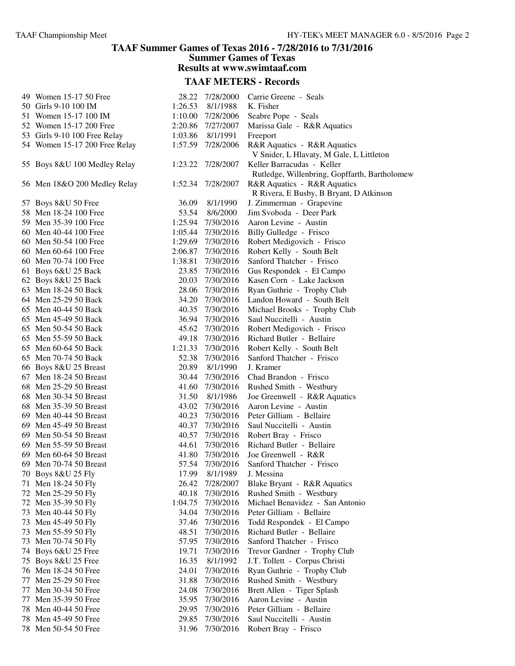## **TAAF Summer Games of Texas 2016 - 7/28/2016 to 7/31/2016 Summer Games of Texas**

**Results at www.swimtaaf.com**

| 49 Women 15-17 50 Free        | 28.22   | 7/28/2000         | Carrie Greene - Seals                         |
|-------------------------------|---------|-------------------|-----------------------------------------------|
| 50 Girls 9-10 100 IM          | 1:26.53 | 8/1/1988          | K. Fisher                                     |
| 51 Women 15-17 100 IM         |         | 1:10.00 7/28/2006 | Seabre Pope - Seals                           |
| 52 Women 15-17 200 Free       |         | 2:20.86 7/27/2007 | Marissa Gale - R&R Aquatics                   |
| 53 Girls 9-10 100 Free Relay  |         | 1:03.86 8/1/1991  | Freeport                                      |
| 54 Women 15-17 200 Free Relay |         | 1:57.59 7/28/2006 | R&R Aquatics - R&R Aquatics                   |
|                               |         |                   | V Snider, L Hlavaty, M Gale, L Littleton      |
| 55 Boys 8&U 100 Medley Relay  | 1:23.22 | 7/28/2007         | Keller Barracudas - Keller                    |
|                               |         |                   | Rutledge, Willenbring, Gopffarth, Bartholomew |
| 56 Men 18&O 200 Medley Relay  | 1:52.34 | 7/28/2007         | R&R Aquatics - R&R Aquatics                   |
|                               |         |                   | R Rivera, E Busby, B Bryant, D Atkinson       |
| 57 Boys 8&U 50 Free           | 36.09   | 8/1/1990          | J. Zimmerman - Grapevine                      |
| 58 Men 18-24 100 Free         | 53.54   | 8/6/2000          | Jim Svoboda - Deer Park                       |
| 59 Men 35-39 100 Free         |         | 1:25.94 7/30/2016 | Aaron Levine - Austin                         |
| 60 Men 40-44 100 Free         |         | 1:05.44 7/30/2016 | Billy Gulledge - Frisco                       |
| 60 Men 50-54 100 Free         |         | 1:29.69 7/30/2016 | Robert Medigovich - Frisco                    |
| 60 Men 60-64 100 Free         |         | 2:06.87 7/30/2016 | Robert Kelly - South Belt                     |
| 60 Men 70-74 100 Free         | 1:38.81 | 7/30/2016         | Sanford Thatcher - Frisco                     |
| 61 Boys 6&U 25 Back           | 23.85   | 7/30/2016         | Gus Respondek - El Campo                      |
| 62 Boys 8&U 25 Back           | 20.03   | 7/30/2016         | Kasen Corn - Lake Jackson                     |
| 63 Men 18-24 50 Back          | 28.06   | 7/30/2016         | Ryan Guthrie - Trophy Club                    |
| 64 Men 25-29 50 Back          |         | 34.20 7/30/2016   | Landon Howard - South Belt                    |
| 65 Men 40-44 50 Back          |         | 40.35 7/30/2016   | Michael Brooks - Trophy Club                  |
| 65 Men 45-49 50 Back          |         | 36.94 7/30/2016   | Saul Nuccitelli - Austin                      |
| 65 Men 50-54 50 Back          |         | 45.62 7/30/2016   | Robert Medigovich - Frisco                    |
| 65 Men 55-59 50 Back          |         | 49.18 7/30/2016   | Richard Butler - Bellaire                     |
| 65 Men 60-64 50 Back          |         | 1:21.33 7/30/2016 | Robert Kelly - South Belt                     |
| 65 Men 70-74 50 Back          |         | 52.38 7/30/2016   | Sanford Thatcher - Frisco                     |
| 66 Boys 8&U 25 Breast         | 20.89   | 8/1/1990          | J. Kramer                                     |
| 67 Men 18-24 50 Breast        | 30.44   | 7/30/2016         | Chad Brandon - Frisco                         |
| 68 Men 25-29 50 Breast        | 41.60   | 7/30/2016         | Rushed Smith - Westbury                       |
| 68 Men 30-34 50 Breast        | 31.50   | 8/1/1986          | Joe Greenwell - R&R Aquatics                  |
| 68 Men 35-39 50 Breast        | 43.02   | 7/30/2016         | Aaron Levine - Austin                         |
| 69 Men 40-44 50 Breast        | 40.23   | 7/30/2016         | Peter Gilliam - Bellaire                      |
| 69 Men 45-49 50 Breast        |         | 40.37 7/30/2016   | Saul Nuccitelli - Austin                      |
| 69 Men 50-54 50 Breast        |         | 40.57 7/30/2016   |                                               |
|                               |         |                   | Robert Bray - Frisco                          |
| 69 Men 55-59 50 Breast        | 44.61   | 7/30/2016         | Richard Butler - Bellaire                     |
| 69 Men 60-64 50 Breast        |         | 41.80 7/30/2016   | Joe Greenwell - R&R                           |
| 69 Men 70-74 50 Breast        | 57.54   | 7/30/2016         | Sanford Thatcher - Frisco                     |
| 70 Boys 8&U 25 Fly            | 17.99   | 8/1/1989          | J. Messina                                    |
| 71 Men 18-24 50 Fly           | 26.42   | 7/28/2007         | Blake Bryant - R&R Aquatics                   |
| 72 Men 25-29 50 Fly           | 40.18   | 7/30/2016         | Rushed Smith - Westbury                       |
| 72 Men 35-39 50 Fly           | 1:04.75 | 7/30/2016         | Michael Benavidez - San Antonio               |
| 73 Men 40-44 50 Fly           | 34.04   | 7/30/2016         | Peter Gilliam - Bellaire                      |
| 73 Men 45-49 50 Fly           | 37.46   | 7/30/2016         | Todd Respondek - El Campo                     |
| 73 Men 55-59 50 Fly           | 48.51   | 7/30/2016         | Richard Butler - Bellaire                     |
| 73 Men 70-74 50 Fly           | 57.95   | 7/30/2016         | Sanford Thatcher - Frisco                     |
| 74 Boys 6&U 25 Free           | 19.71   | 7/30/2016         | Trevor Gardner - Trophy Club                  |
| 75 Boys 8&U 25 Free           | 16.35   | 8/1/1992          | J.T. Tollett - Corpus Christi                 |
| 76 Men 18-24 50 Free          | 24.01   | 7/30/2016         | Ryan Guthrie - Trophy Club                    |
| 77 Men 25-29 50 Free          | 31.88   | 7/30/2016         | Rushed Smith - Westbury                       |
| 77 Men 30-34 50 Free          | 24.08   | 7/30/2016         | Brett Allen - Tiger Splash                    |
| 77 Men 35-39 50 Free          | 35.95   | 7/30/2016         | Aaron Levine - Austin                         |
| 78 Men 40-44 50 Free          | 29.95   | 7/30/2016         | Peter Gilliam - Bellaire                      |
| 78 Men 45-49 50 Free          | 29.85   | 7/30/2016         | Saul Nuccitelli - Austin                      |
| 78 Men 50-54 50 Free          | 31.96   | 7/30/2016         | Robert Bray - Frisco                          |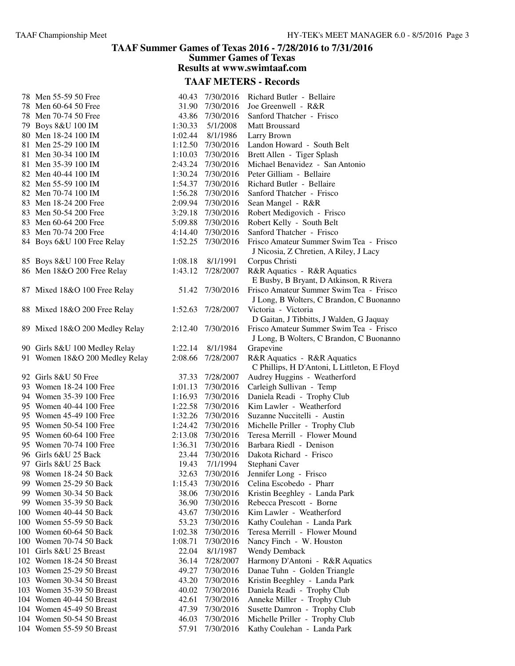#### **TAAF Summer Games of Texas 2016 - 7/28/2016 to 7/31/2016 Summer Games of Texas**

**Results at www.swimtaaf.com**

| 78 Men 55-59 50 Free           | 40.43              | 7/30/2016             | Richard Butler - Bellaire                                                           |
|--------------------------------|--------------------|-----------------------|-------------------------------------------------------------------------------------|
| 78 Men 60-64 50 Free           | 31.90              | 7/30/2016             | Joe Greenwell - R&R                                                                 |
| 78 Men 70-74 50 Free           | 43.86              | 7/30/2016             | Sanford Thatcher - Frisco                                                           |
| 79 Boys 8&U 100 IM             | 1:30.33            | 5/1/2008              | Matt Broussard                                                                      |
| 80 Men 18-24 100 IM            | 1:02.44            | 8/1/1986              | Larry Brown                                                                         |
| 81 Men 25-29 100 IM            | 1:12.50            | 7/30/2016             | Landon Howard - South Belt                                                          |
| 81 Men 30-34 100 IM            | 1:10.03            | 7/30/2016             | Brett Allen - Tiger Splash                                                          |
| 81 Men 35-39 100 IM            | 2:43.24            | 7/30/2016             | Michael Benavidez - San Antonio                                                     |
| 82 Men 40-44 100 IM            | 1:30.24            | 7/30/2016             | Peter Gilliam - Bellaire                                                            |
| 82 Men 55-59 100 IM            |                    | 1:54.37 7/30/2016     | Richard Butler - Bellaire                                                           |
| 82 Men 70-74 100 IM            | 1:56.28            | 7/30/2016             | Sanford Thatcher - Frisco                                                           |
| 83 Men 18-24 200 Free          | 2:09.94            | 7/30/2016             | Sean Mangel - R&R                                                                   |
| 83 Men 50-54 200 Free          | 3:29.18            | 7/30/2016             | Robert Medigovich - Frisco                                                          |
| 83 Men 60-64 200 Free          |                    | 5:09.88 7/30/2016     | Robert Kelly - South Belt                                                           |
| 83 Men 70-74 200 Free          | 4:14.40            | 7/30/2016             | Sanford Thatcher - Frisco                                                           |
| 84 Boys 6&U 100 Free Relay     |                    | 1:52.25 7/30/2016     | Frisco Amateur Summer Swim Tea - Frisco<br>J Nicosia, Z Chretien, A Riley, J Lacy   |
| 85 Boys 8&U 100 Free Relay     | 1:08.18            | 8/1/1991              | Corpus Christi                                                                      |
| 86 Men 18&O 200 Free Relay     | 1:43.12            | 7/28/2007             | R&R Aquatics - R&R Aquatics                                                         |
|                                |                    |                       | E Busby, B Bryant, D Atkinson, R Rivera                                             |
| 87 Mixed 18&O 100 Free Relay   | 51.42              | 7/30/2016             | Frisco Amateur Summer Swim Tea - Frisco<br>J Long, B Wolters, C Brandon, C Buonanno |
| 88 Mixed 18&O 200 Free Relay   | 1:52.63            | 7/28/2007             | Victoria - Victoria<br>D Gaitan, J Tibbitts, J Walden, G Jaquay                     |
| 89 Mixed 18&O 200 Medley Relay | 2:12.40            | 7/30/2016             | Frisco Amateur Summer Swim Tea - Frisco                                             |
|                                |                    |                       | J Long, B Wolters, C Brandon, C Buonanno                                            |
| 90 Girls 8&U 100 Medley Relay  | 1:22.14<br>2:08.66 | 8/1/1984<br>7/28/2007 | Grapevine                                                                           |
| 91 Women 18&O 200 Medley Relay |                    |                       | R&R Aquatics - R&R Aquatics<br>C Phillips, H D'Antoni, L Littleton, E Floyd         |
| 92 Girls 8&U 50 Free           | 37.33              | 7/28/2007             | Audrey Huggins - Weatherford                                                        |
| 93 Women 18-24 100 Free        | 1:01.13            | 7/30/2016             | Carleigh Sullivan - Temp                                                            |
| 94 Women 35-39 100 Free        | 1:16.93            | 7/30/2016             | Daniela Readi - Trophy Club                                                         |
| 95 Women 40-44 100 Free        | 1:22.58            | 7/30/2016             | Kim Lawler - Weatherford                                                            |
| 95 Women 45-49 100 Free        | 1:32.26            | 7/30/2016             | Suzanne Nuccitelli - Austin                                                         |
| 95 Women 50-54 100 Free        |                    | 1:24.42 7/30/2016     | Michelle Priller - Trophy Club                                                      |
| 95 Women 60-64 100 Free        | 2:13.08            | 7/30/2016             | Teresa Merrill - Flower Mound                                                       |
| 95 Women 70-74 100 Free        | 1:36.31            | 7/30/2016             | Barbara Riedl - Denison                                                             |
| 96 Girls 6&U 25 Back           | 23.44              | 7/30/2016             | Dakota Richard - Frisco                                                             |
| 97 Girls 8&U 25 Back           | 19.43              | 7/1/1994              | Stephani Caver                                                                      |
| 98 Women 18-24 50 Back         | 32.63              | 7/30/2016             | Jennifer Long - Frisco                                                              |
| 99 Women 25-29 50 Back         | 1:15.43            | 7/30/2016             | Celina Escobedo - Pharr                                                             |
| 99 Women 30-34 50 Back         | 38.06              | 7/30/2016             | Kristin Beeghley - Landa Park                                                       |
| 99 Women 35-39 50 Back         | 36.90              | 7/30/2016             | Rebecca Prescott - Borne                                                            |
| 100 Women 40-44 50 Back        | 43.67              | 7/30/2016             | Kim Lawler - Weatherford                                                            |
| 100 Women 55-59 50 Back        | 53.23              | 7/30/2016             | Kathy Coulehan - Landa Park                                                         |
| 100 Women 60-64 50 Back        | 1:02.38            | 7/30/2016             | Teresa Merrill - Flower Mound                                                       |
| 100 Women 70-74 50 Back        | 1:08.71            | 7/30/2016             | Nancy Finch - W. Houston                                                            |
| 101 Girls 8&U 25 Breast        | 22.04              | 8/1/1987              | <b>Wendy Demback</b>                                                                |
| 102 Women 18-24 50 Breast      | 36.14              | 7/28/2007             | Harmony D'Antoni - R&R Aquatics                                                     |
| 103 Women 25-29 50 Breast      | 49.27              | 7/30/2016             | Danae Tuhn - Golden Triangle                                                        |
| 103 Women 30-34 50 Breast      | 43.20              | 7/30/2016             | Kristin Beeghley - Landa Park                                                       |
| 103 Women 35-39 50 Breast      | 40.02              | 7/30/2016             | Daniela Readi - Trophy Club                                                         |
| 104 Women 40-44 50 Breast      | 42.61              | 7/30/2016             | Anneke Miller - Trophy Club                                                         |
| 104 Women 45-49 50 Breast      | 47.39              | 7/30/2016             | Susette Damron - Trophy Club                                                        |
| 104 Women 50-54 50 Breast      | 46.03              | 7/30/2016             | Michelle Priller - Trophy Club                                                      |
| 104 Women 55-59 50 Breast      | 57.91              | 7/30/2016             | Kathy Coulehan - Landa Park                                                         |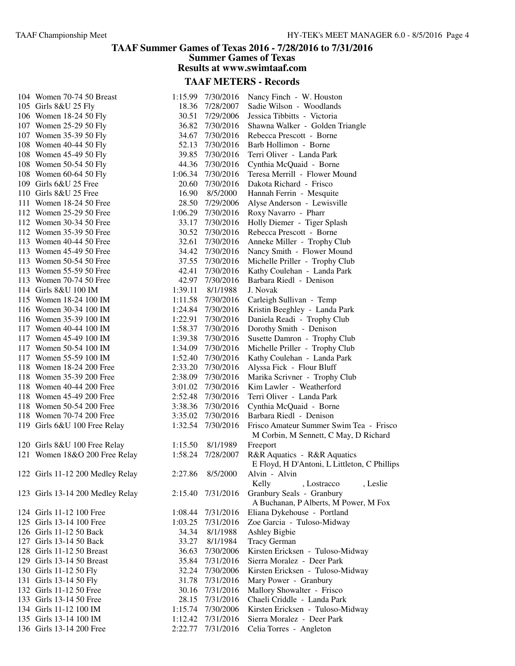#### **TAAF Summer Games of Texas 2016 - 7/28/2016 to 7/31/2016 Summer Games of Texas Results at www.swimtaaf.com**

| 104 Women 70-74 50 Breast        |         | 1:15.99 7/30/2016 | Nancy Finch - W. Houston                                                         |
|----------------------------------|---------|-------------------|----------------------------------------------------------------------------------|
| 105 Girls 8&U 25 Fly             | 18.36   | 7/28/2007         | Sadie Wilson - Woodlands                                                         |
| 106 Women 18-24 50 Fly           | 30.51   | 7/29/2006         | Jessica Tibbitts - Victoria                                                      |
| 107 Women 25-29 50 Fly           | 36.82   | 7/30/2016         | Shawna Walker - Golden Triangle                                                  |
| 107 Women 35-39 50 Fly           | 34.67   | 7/30/2016         | Rebecca Prescott - Borne                                                         |
| 108 Women 40-44 50 Fly           | 52.13   | 7/30/2016         | Barb Hollimon - Borne                                                            |
| 108 Women 45-49 50 Fly           | 39.85   | 7/30/2016         | Terri Oliver - Landa Park                                                        |
| 108 Women 50-54 50 Fly           | 44.36   | 7/30/2016         | Cynthia McQuaid - Borne                                                          |
| 108 Women 60-64 50 Fly           | 1:06.34 | 7/30/2016         | Teresa Merrill - Flower Mound                                                    |
| 109 Girls 6&U 25 Free            | 20.60   | 7/30/2016         | Dakota Richard - Frisco                                                          |
| 110 Girls 8&U 25 Free            | 16.90   | 8/5/2000          | Hannah Ferrin - Mesquite                                                         |
| 111 Women 18-24 50 Free          | 28.50   | 7/29/2006         | Alyse Anderson - Lewisville                                                      |
| 112 Women 25-29 50 Free          | 1:06.29 | 7/30/2016         | Roxy Navarro - Pharr                                                             |
| 112 Women 30-34 50 Free          | 33.17   | 7/30/2016         | Holly Diemer - Tiger Splash                                                      |
| 112 Women 35-39 50 Free          | 30.52   | 7/30/2016         | Rebecca Prescott - Borne                                                         |
| 113 Women 40-44 50 Free          | 32.61   | 7/30/2016         | Anneke Miller - Trophy Club                                                      |
| 113 Women 45-49 50 Free          | 34.42   | 7/30/2016         | Nancy Smith - Flower Mound                                                       |
| 113 Women 50-54 50 Free          | 37.55   | 7/30/2016         | Michelle Priller - Trophy Club                                                   |
| 113 Women 55-59 50 Free          | 42.41   | 7/30/2016         | Kathy Coulehan - Landa Park                                                      |
| 113 Women 70-74 50 Free          | 42.97   | 7/30/2016         | Barbara Riedl - Denison                                                          |
| 114 Girls 8&U 100 IM             | 1:39.11 | 8/1/1988          | J. Novak                                                                         |
| 115 Women 18-24 100 IM           | 1:11.58 | 7/30/2016         | Carleigh Sullivan - Temp                                                         |
| 116 Women 30-34 100 IM           | 1:24.84 | 7/30/2016         | Kristin Beeghley - Landa Park                                                    |
| 116 Women 35-39 100 IM           | 1:22.91 | 7/30/2016         | Daniela Readi - Trophy Club                                                      |
| 117 Women 40-44 100 IM           | 1:58.37 | 7/30/2016         | Dorothy Smith - Denison                                                          |
| 117 Women 45-49 100 IM           | 1:39.38 | 7/30/2016         | Susette Damron - Trophy Club                                                     |
| 117 Women 50-54 100 IM           | 1:34.09 | 7/30/2016         | Michelle Priller - Trophy Club                                                   |
| 117 Women 55-59 100 IM           | 1:52.40 | 7/30/2016         | Kathy Coulehan - Landa Park                                                      |
| 118 Women 18-24 200 Free         | 2:33.20 | 7/30/2016         | Alyssa Fick - Flour Bluff                                                        |
| 118 Women 35-39 200 Free         | 2:38.09 | 7/30/2016         | Marika Scrivner - Trophy Club                                                    |
| 118 Women 40-44 200 Free         | 3:01.02 | 7/30/2016         | Kim Lawler - Weatherford                                                         |
| 118 Women 45-49 200 Free         | 2:52.48 | 7/30/2016         | Terri Oliver - Landa Park                                                        |
| 118 Women 50-54 200 Free         | 3:38.36 | 7/30/2016         | Cynthia McQuaid - Borne                                                          |
| 118 Women 70-74 200 Free         | 3:35.02 | 7/30/2016         | Barbara Riedl - Denison                                                          |
| 119 Girls 6&U 100 Free Relay     | 1:32.54 | 7/30/2016         | Frisco Amateur Summer Swim Tea - Frisco<br>M Corbin, M Sennett, C May, D Richard |
| 120 Girls 8&U 100 Free Relay     | 1:15.50 | 8/1/1989          | Freeport                                                                         |
| 121 Women 18&O 200 Free Relay    | 1:58.24 | 7/28/2007         | R&R Aquatics - R&R Aquatics                                                      |
|                                  |         |                   | E Floyd, H D'Antoni, L Littleton, C Phillips                                     |
| 122 Girls 11-12 200 Medley Relay | 2:27.86 | 8/5/2000          | Alvin - Alvin                                                                    |
|                                  |         |                   | Kelly<br>, Lostracco<br>, Leslie                                                 |
| 123 Girls 13-14 200 Medley Relay | 2:15.40 | 7/31/2016         | Granbury Seals - Granbury<br>A Buchanan, P Alberts, M Power, M Fox               |
| 124 Girls 11-12 100 Free         | 1:08.44 | 7/31/2016         | Eliana Dykehouse - Portland                                                      |
| 125 Girls 13-14 100 Free         | 1:03.25 | 7/31/2016         | Zoe Garcia - Tuloso-Midway                                                       |
| 126 Girls 11-12 50 Back          | 34.34   | 8/1/1988          | Ashley Bigbie                                                                    |
| 127 Girls 13-14 50 Back          | 33.27   | 8/1/1984          | <b>Tracy German</b>                                                              |
| 128 Girls 11-12 50 Breast        | 36.63   | 7/30/2006         | Kirsten Ericksen - Tuloso-Midway                                                 |
| 129 Girls 13-14 50 Breast        | 35.84   | 7/31/2016         | Sierra Moralez - Deer Park                                                       |
| 130 Girls 11-12 50 Fly           | 32.24   | 7/30/2006         | Kirsten Ericksen - Tuloso-Midway                                                 |
| 131 Girls 13-14 50 Fly           | 31.78   | 7/31/2016         | Mary Power - Granbury                                                            |
| 132 Girls 11-12 50 Free          | 30.16   | 7/31/2016         | Mallory Showalter - Frisco                                                       |
| 133 Girls 13-14 50 Free          | 28.15   | 7/31/2016         | Chaeli Criddle - Landa Park                                                      |
| 134 Girls 11-12 100 IM           | 1:15.74 | 7/30/2006         | Kirsten Ericksen - Tuloso-Midway                                                 |
| 135 Girls 13-14 100 IM           | 1:12.42 | 7/31/2016         | Sierra Moralez - Deer Park                                                       |
| 136 Girls 13-14 200 Free         | 2:22.77 | 7/31/2016         | Celia Torres - Angleton                                                          |
|                                  |         |                   |                                                                                  |